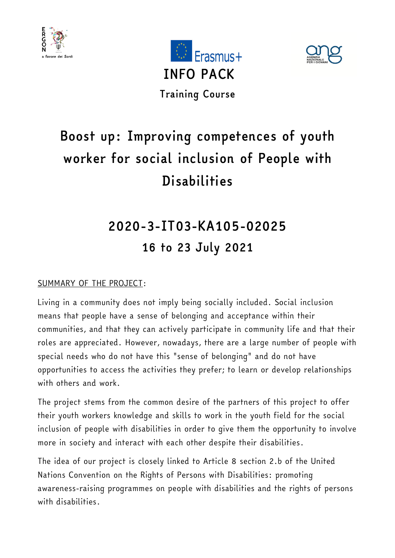





# *Boost up: Improving competences of youth worker for social inclusion of People with Disabilities*

# *2020-3-IT03-KA105-02025 16 to 23 July 2021*

### SUMMARY OF THE PROJECT:

Living in a community does not imply being socially included. Social inclusion means that people have a sense of belonging and acceptance within their communities, and that they can actively participate in community life and that their roles are appreciated. However, nowadays, there are a large number of people with special needs who do not have this "sense of belonging" and do not have opportunities to access the activities they prefer; to learn or develop relationships with others and work.

The project stems from the common desire of the partners of this project to offer their youth workers knowledge and skills to work in the youth field for the social inclusion of people with disabilities in order to give them the opportunity to involve more in society and interact with each other despite their disabilities.

The idea of our project is closely linked to Article 8 section 2.b of the United Nations Convention on the Rights of Persons with Disabilities: promoting awareness-raising programmes on people with disabilities and the rights of persons with disabilities.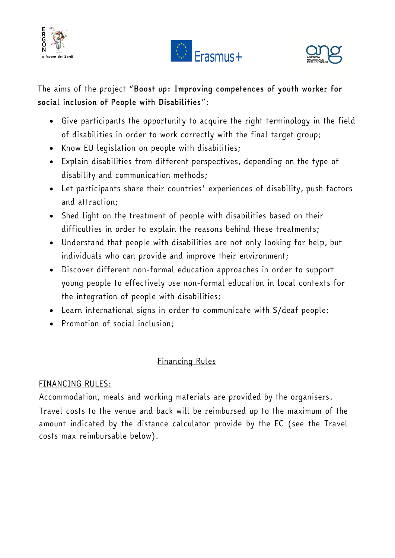





The aims of the project "*Boost up: Improving competences of youth worker for social inclusion of People with Disabilities*":

- Give participants the opportunity to acquire the right terminology in the field of disabilities in order to work correctly with the final target group;
- Know EU legislation on people with disabilities;
- Explain disabilities from different perspectives, depending on the type of disability and communication methods;
- Let participants share their countries' experiences of disability, push factors and attraction;
- Shed light on the treatment of people with disabilities based on their difficulties in order to explain the reasons behind these treatments;
- Understand that people with disabilities are not only looking for help, but individuals who can provide and improve their environment;
- Discover different non-formal education approaches in order to support young people to effectively use non-formal education in local contexts for the integration of people with disabilities;
- Learn international signs in order to communicate with S/deaf people;
- Promotion of social inclusion;

## Financing Rules

#### FINANCING RULES:

Accommodation, meals and working materials are provided by the organisers.

Travel costs to the venue and back will be reimbursed up to the maximum of the amount indicated by the distance calculator provide by the EC (see the Travel costs max reimbursable below).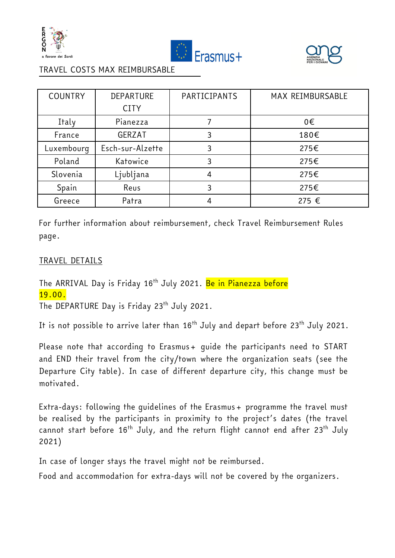





#### TRAVEL COSTS MAX REIMBURSABLE

| <b>COUNTRY</b> | DEPARTURE        | PARTICIPANTS | MAX REIMBURSABLE |
|----------------|------------------|--------------|------------------|
|                | <b>CITY</b>      |              |                  |
| Italy          | Pianezza         |              | 0€               |
| France         | <b>GERZAT</b>    | 3            | 180€             |
| Luxembourq     | Esch-sur-Alzette | 3            | 275€             |
| Poland         | Katowice         | 3            | 275€             |
| Slovenia       | Ljubljana        | 4            | 275€             |
| Spain          | Reus             |              | 275€             |
| Greece         | Patra            |              | 275 €            |

For further information about reimbursement, check Travel Reimbursement Rules page.

#### TRAVEL DETAILS

The ARRIVAL Day is Friday 16<sup>th</sup> July 2021. Be in Pianezza before 19.00.

The DEPARTURE Day is Friday 23<sup>th</sup> July 2021.

It is not possible to arrive later than 16<sup>th</sup> July and depart before 23<sup>th</sup> July 2021.

Please note that according to Erasmus+ quide the participants need to START and END their travel from the city/town where the organization seats (see the Departure City table). In case of different departure city, this change must be motivated.

Extra-days: following the quidelines of the Erasmus+ programme the travel must be realised by the participants in proximity to the project's dates (the travel cannot start before 16<sup>th</sup> July, and the return flight cannot end after 23<sup>th</sup> July 2021)

In case of longer stays the travel might not be reimbursed.

Food and accommodation for extra-days will not be covered by the organizers.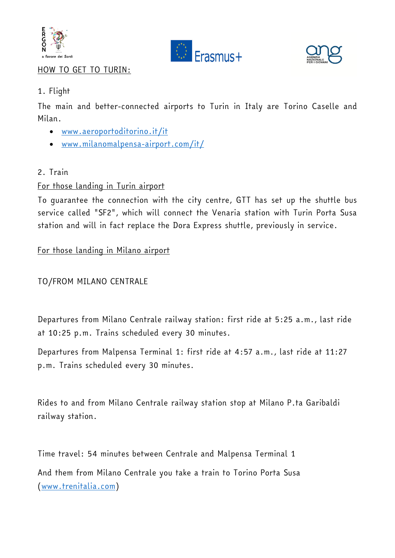





#### HOW TO GET TO TURIN:

#### 1. Flight

The main and better-connected airports to Turin in Italy are Torino Caselle and Milan.

- [www.aeroportoditorino.it/it](http://www.aeroportoditorino.it/it)
- [www.milanomalpensa-airport.com/it/](http://www.milanomalpensa-airport.com/it/)

#### 2. Train

#### For those landing in Turin airport

To guarantee the connection with the city centre, GTT has set up the shuttle bus service called "SF2", which will connect the Venaria station with Turin Porta Susa station and will in fact replace the Dora Express shuttle, previously in service.

#### For those landing in Milano airport

#### TO/FROM MILANO CENTRALE

Departures from Milano Centrale railway station: first ride at 5:25 a.m., last ride at 10:25 p.m. Trains scheduled every 30 minutes.

Departures from Malpensa Terminal 1: first ride at 4:57 a.m., last ride at 11:27 p.m. Trains scheduled every 30 minutes.

Rides to and from Milano Centrale railway station stop at Milano P.ta Garibaldi railway station.

Time travel: 54 minutes between Centrale and Malpensa Terminal 1 And them from Milano Centrale you take a train to Torino Porta Susa [\(www.trenitalia.com\)](http://www.trenitalia.com/)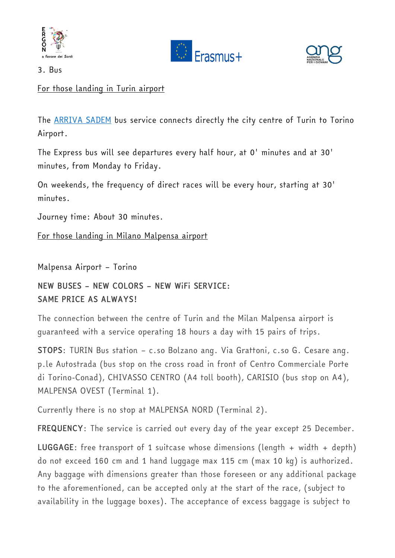





3. Bus

For those landing in Turin airport

The [ARRIVA SADEM](https://torino.arriva.it/en/airport-line-torino-city-center-torino-airport/) bus service connects directly the city centre of Turin to Torino Airport.

The Express bus will see departures every half hour, at 0' minutes and at 30' minutes, from Monday to Friday.

On weekends, the frequency of direct races will be every hour, starting at 30' minutes.

Journey time: About 30 minutes.

For those landing in Milano Malpensa airport

Malpensa Airport – Torino

*NEW BUSES – NEW COLORS – NEW WiFi SERVICE: SAME PRICE AS ALWAYS!*

The connection between the centre of Turin and the Milan Malpensa airport is guaranteed with a service operating 18 hours a day with 15 pairs of trips.

*STOPS*: TURIN Bus station – c.so Bolzano ang. Via Grattoni, c.so G. Cesare ang. p.le Autostrada (bus stop on the cross road in front of Centro Commerciale Porte di Torino-Conad), CHIVASSO CENTRO (A4 toll booth), CARISIO (bus stop on A4), MALPENSA OVEST (Terminal 1).

Currently there is no stop at MALPENSA NORD (Terminal 2).

*FREQUENCY*: The service is carried out every day of the year except 25 December.

*LUGGAGE*: free transport of 1 suitcase whose dimensions (length + width + depth) do not exceed 160 cm and 1 hand luggage max 115 cm (max 10 kg) is authorized. Any baggage with dimensions greater than those foreseen or any additional package to the aforementioned, can be accepted only at the start of the race, (subject to availability in the luggage boxes). The acceptance of excess baggage is subject to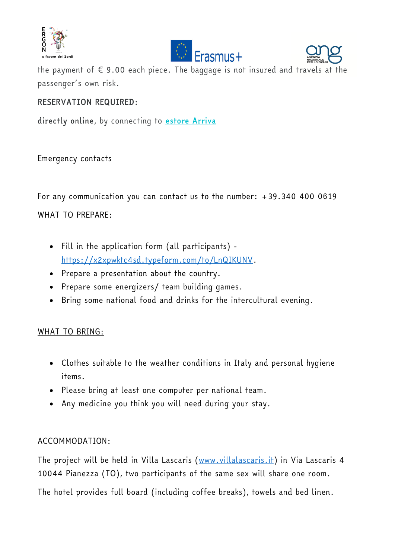





the payment of  $\epsilon$  9.00 each piece. The baggage is not insured and travels at the passenger's own risk.

#### *RESERVATION REQUIRED:*

*directly online*, by connecting to *[estore Arriva](https://estore.arriva.it/en/home)*

#### Emergency contacts

For any communication you can contact us to the number: +39.340 400 0619

### WHAT TO PREPARE:

- Fill in the application form (all participants) [https://x2xpwktc4sd.typeform.com/to/LnQIKUNV.](https://x2xpwktc4sd.typeform.com/to/LnQIKUNV)
- Prepare a presentation about the country.
- Prepare some energizers/ team building games.
- Bring some national food and drinks for the intercultural evening.

#### WHAT TO BRING:

- Clothes suitable to the weather conditions in Italy and personal hygiene items.
- Please bring at least one computer per national team.
- Any medicine you think you will need during your stay.

#### ACCOMMODATION:

The project will be held in Villa Lascaris [\(www.villalascaris.it\)](http://www.villalascaris.it/) in Via Lascaris 4 10044 Pianezza (TO), two participants of the same sex will share one room.

The hotel provides full board (including coffee breaks), towels and bed linen.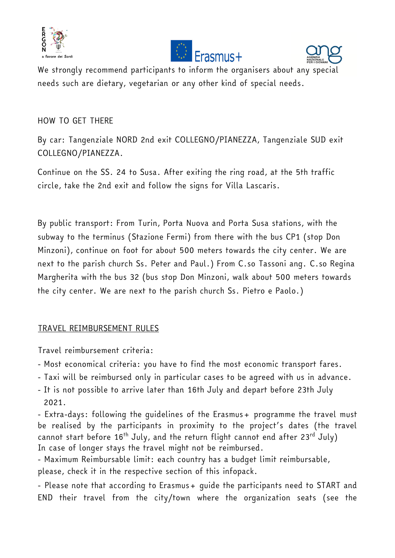





We strongly recommend participants to inform the organisers about any special needs such are dietary, vegetarian or any other kind of special needs.

#### HOW TO GET THERE

By car: Tangenziale NORD 2nd exit COLLEGNO/PIANEZZA, Tangenziale SUD exit COLLEGNO/PIANEZZA.

Continue on the SS. 24 to Susa. After exiting the ring road, at the 5th traffic circle, take the 2nd exit and follow the signs for Villa Lascaris.

By public transport: From Turin, Porta Nuova and Porta Susa stations, with the subway to the terminus (Stazione Fermi) from there with the bus CP1 (stop Don Minzoni), continue on foot for about 500 meters towards the city center. We are next to the parish church Ss. Peter and Paul.) From C.so Tassoni ang. C.so Regina Margherita with the bus 32 (bus stop Don Minzoni, walk about 500 meters towards the city center. We are next to the parish church Ss. Pietro e Paolo.)

#### TRAVEL REIMBURSEMENT RULES

Travel reimbursement criteria:

- Most economical criteria: you have to find the most economic transport fares.
- Taxi will be reimbursed only in particular cases to be agreed with us in advance.
- It is not possible to arrive later than 16th July and depart before 23th July 2021.

- Extra-days: following the quidelines of the Erasmus+ programme the travel must be realised by the participants in proximity to the project's dates (the travel cannot start before  $16^{th}$  July, and the return flight cannot end after  $23^{rd}$  July) In case of longer stays the travel might not be reimbursed.

- Maximum Reimbursable limit: each country has a budget limit reimbursable, please, check it in the respective section of this infopack.

- Please note that according to Erasmus + quide the participants need to START and END their travel from the city/town where the organization seats (see the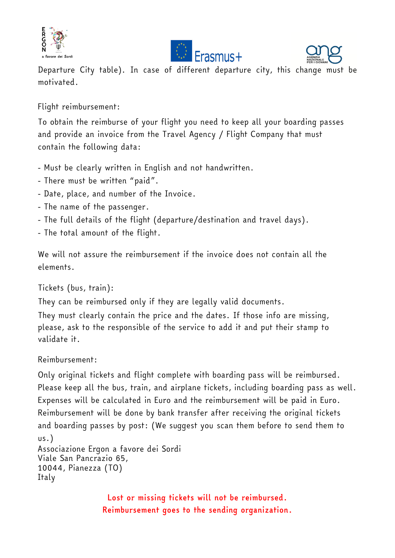





Departure City table). In case of different departure city, this change must be motivated.

Flight reimbursement:

To obtain the reimburse of your flight you need to keep all your boarding passes and provide an invoice from the Travel Agency / Flight Company that must contain the following data:

- Must be clearly written in English and not handwritten.
- There must be written "paid".
- Date, place, and number of the Invoice.
- The name of the passenger.
- The full details of the flight (departure/destination and travel days).
- The total amount of the flight.

We will not assure the reimbursement if the invoice does not contain all the elements.

Tickets (bus, train):

They can be reimbursed only if they are legally valid documents.

They must clearly contain the price and the dates. If those info are missing, please, ask to the responsible of the service to add it and put their stamp to validate it.

Reimbursement:

Only original tickets and flight complete with boarding pass will be reimbursed. Please keep all the bus, train, and airplane tickets, including boarding pass as well. Expenses will be calculated in Euro and the reimbursement will be paid in Euro. Reimbursement will be done by bank transfer after receiving the original tickets and boarding passes by post: (We suggest you scan them before to send them to us.) Associazione Ergon a favore dei Sordi

```
Viale San Pancrazio 65,
10044, Pianezza (TO)
Italy
```
*Lost or missing tickets will not be reimbursed. Reimbursement goes to the sending organization.*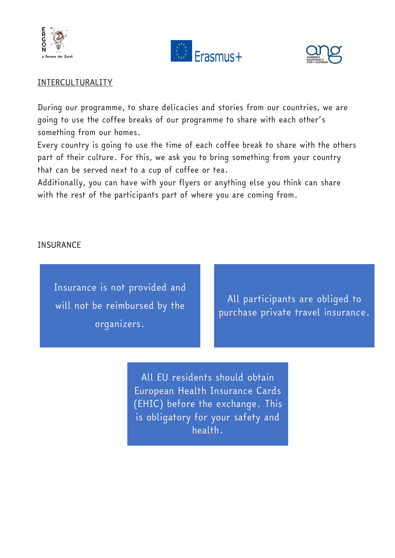





#### INTERCULTURALITY

During our programme, to share delicacies and stories from our countries, we are going to use the coffee breaks of our programme to share with each other's something from our homes.

Every country is going to use the time of each coffee break to share with the others part of their culture. For this, we ask you to bring something from your country that can be served next to a cup of coffee or tea.

Additionally, you can have with your flyers or anything else you think can share with the rest of the participants part of where you are coming from.

#### **INSURANCE**

Insurance is not provided and will not be reimbursed by the organizers.

All participants are obliged to purchase private travel insurance.

All EU residents should obtain European Health Insurance Cards (EHIC) before the exchange. This is obligatory for your safety and health.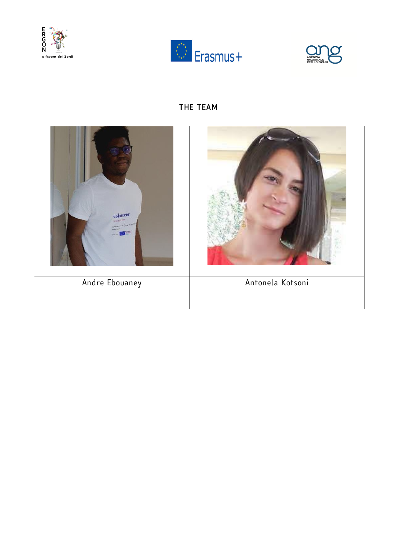





## *THE TEAM*